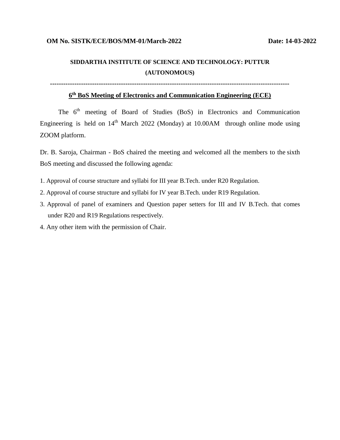## **SIDDARTHA INSTITUTE OF SCIENCE AND TECHNOLOGY: PUTTUR (AUTONOMOUS)**

**------------------------------------------------------------------------------------------------------------**

#### **6 th BoS Meeting of Electronics and Communication Engineering (ECE)**

The 6<sup>th</sup> meeting of Board of Studies (BoS) in Electronics and Communication Engineering is held on  $14<sup>th</sup>$  March 2022 (Monday) at 10.00AM through online mode using ZOOM platform.

Dr. B. Saroja, Chairman - BoS chaired the meeting and welcomed all the members to the sixth BoS meeting and discussed the following agenda:

- 1. Approval of course structure and syllabi for III year B.Tech. under R20 Regulation.
- 2. Approval of course structure and syllabi for IV year B.Tech. under R19 Regulation.
- 3. Approval of panel of examiners and Question paper setters for III and IV B.Tech. that comes under R20 and R19 Regulations respectively.
- 4. Any other item with the permission of Chair.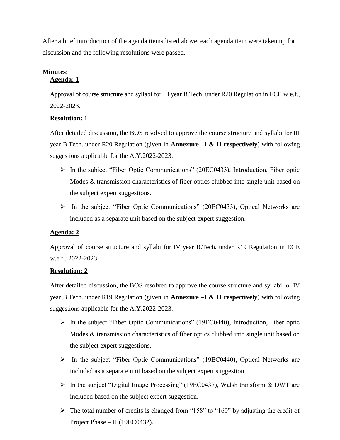After a brief introduction of the agenda items listed above, each agenda item were taken up for discussion and the following resolutions were passed.

#### **Minutes: Agenda: 1**

Approval of course structure and syllabi for III year B.Tech. under R20 Regulation in ECE w.e.f., 2022-2023.

#### **Resolution: 1**

After detailed discussion, the BOS resolved to approve the course structure and syllabi for III year B.Tech. under R20 Regulation (given in **Annexure –I & II respectively**) with following suggestions applicable for the A.Y.2022-2023.

- $\triangleright$  In the subject "Fiber Optic Communications" (20EC0433), Introduction, Fiber optic Modes & transmission characteristics of fiber optics clubbed into single unit based on the subject expert suggestions.
- In the subject "Fiber Optic Communications" (20EC0433), Optical Networks are included as a separate unit based on the subject expert suggestion.

### **Agenda: 2**

Approval of course structure and syllabi for IV year B.Tech. under R19 Regulation in ECE w.e.f., 2022-2023.

#### **Resolution: 2**

After detailed discussion, the BOS resolved to approve the course structure and syllabi for IV year B.Tech. under R19 Regulation (given in **Annexure –I & II respectively**) with following suggestions applicable for the A.Y.2022-2023.

- $\triangleright$  In the subject "Fiber Optic Communications" (19EC0440), Introduction, Fiber optic Modes & transmission characteristics of fiber optics clubbed into single unit based on the subject expert suggestions.
- In the subject "Fiber Optic Communications" (19EC0440), Optical Networks are included as a separate unit based on the subject expert suggestion.
- $\triangleright$  In the subject "Digital Image Processing" (19EC0437), Walsh transform & DWT are included based on the subject expert suggestion.
- $\triangleright$  The total number of credits is changed from "158" to "160" by adjusting the credit of Project Phase – II (19EC0432).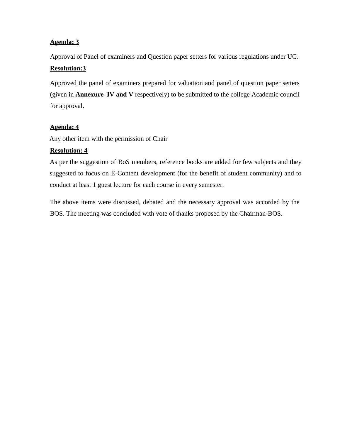#### **Agenda: 3**

Approval of Panel of examiners and Question paper setters for various regulations under UG. **Resolution:3**

Approved the panel of examiners prepared for valuation and panel of question paper setters (given in **Annexure–IV and V** respectively) to be submitted to the college Academic council for approval.

#### **Agenda: 4**

Any other item with the permission of Chair

#### **Resolution: 4**

As per the suggestion of BoS members, reference books are added for few subjects and they suggested to focus on E-Content development (for the benefit of student community) and to conduct at least 1 guest lecture for each course in every semester.

The above items were discussed, debated and the necessary approval was accorded by the BOS. The meeting was concluded with vote of thanks proposed by the Chairman-BOS.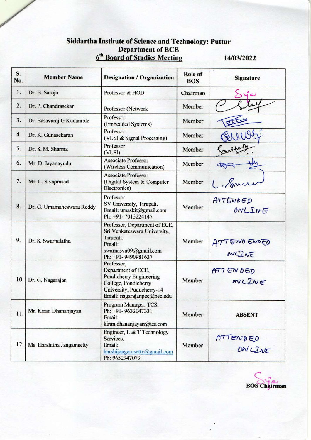# Siddartha Institute of Science and Technology: Puttur<br>Department of ECE<br><u>6<sup>th</sup> Board of Studies Meeting</u> 14/

14/03/2022

| S.<br>No. | <b>Member Name</b>        | <b>Designation / Organization</b>                                                                                                               | Role of<br><b>BOS</b> | <b>Signature</b>    |
|-----------|---------------------------|-------------------------------------------------------------------------------------------------------------------------------------------------|-----------------------|---------------------|
| 1.        | Dr. B. Saroja             | Professor & HOD                                                                                                                                 | Chairman              | بە                  |
| 2.        | Dr. P. Chandrasekar       | Professor (Network                                                                                                                              | Member                |                     |
| 3.        | Dr. Basavaraj G Kudamble  | Professor<br>(Embedded Systems)                                                                                                                 | Member                |                     |
| 4.        | Dr. K. Gunasekaran        | Professor<br>(VLSI & Signal Processing)                                                                                                         | Member                |                     |
| 5.        | Dr. S. M. Sharma          | Professor<br>(VLSI)                                                                                                                             | Member                |                     |
| 6.        | Mr. D. Jayanayudu         | <b>Associate Professor</b><br>(Wireless Communication)                                                                                          | Member                |                     |
| 7.        | Mr. L. Sivaprasad         | <b>Associate Professor</b><br>(Digital System & Computer<br>Electronics)                                                                        | Member                | 1. Sur              |
| 8.        | Dr. G. Umamaheswara Reddy | Professor<br>SV University, Tirupati.<br>Email: umaskit@gmail.com<br>Ph: +91-7013224147                                                         | Member                | ATTENDED<br>ONLING  |
| 9.        | Dr. S. Swarnalatha        | Professor, Department of ECE,<br>Sri Venkateswara University,<br>Tirupati.<br>Email:<br>swarnasvu09@gmail.com<br>Ph: +91-9490981637             | Member                | ATTENO ENDED        |
| 10.       | Dr. G. Nagarajan          | Professor,<br>Department of ECE,<br>Pondicherry Engineering<br>College, Pondicherry<br>University, Puducherry-14<br>Email: nagarajanpec@pec.edu | Member                | ATTENDED<br>ONLINE  |
| 11.       | Mr. Kiran Dhananjayan     | Program Manager, TCS.<br>Ph: +91-9632047331<br>Email:<br>kiran.dhananjayan@tcs.com                                                              | Member                | <b>ABSENT</b>       |
| 12.       | Ms. Harshitha Jangamsetty | Engineer, L & T Technology<br>Services,<br>Email:<br>harshijangamsetty@gmail.com<br>Ph: 9652947079                                              | Member                | ATTENDED<br>ON LIVE |